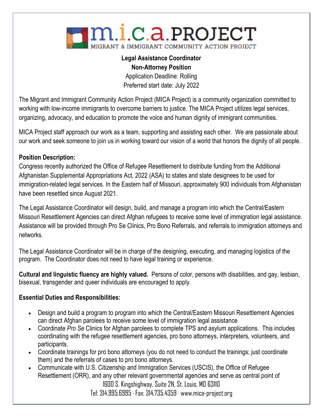

# **Legal Assistance Coordinator Non-Attorney Position**

Application Deadline: Rolling Preferred start date: July 2022

The Migrant and Immigrant Community Action Project (MICA Project) is a community organization committed to working with low-income immigrants to overcome barriers to justice. The MICA Project utilizes legal services, organizing, advocacy, and education to promote the voice and human dignity of immigrant communities.

MICA Project staff approach our work as a team, supporting and assisting each other. We are passionate about our work and seek someone to join us in working toward our vision of a world that honors the dignity of all people.

# **Position Description:**

Congress recently authorized the Office of Refugee Resettlement to distribute funding from the Additional Afghanistan Supplemental Appropriations Act, 2022 (ASA) to states and state designees to be used for immigration-related legal services. In the Eastern half of Missouri, approximately 900 individuals from Afghanistan have been resettled since August 2021.

The Legal Assistance Coordinator will design, build, and manage a program into which the Central/Eastern Missouri Resettlement Agencies can direct Afghan refugees to receive some level of immigration legal assistance. Assistance will be provided through Pro Se Clinics, Pro Bono Referrals, and referrals to immigration attorneys and networks.

The Legal Assistance Coordinator will be in charge of the designing, executing, and managing logistics of the program. The Coordinator does not need to have legal training or experience.

**Cultural and linguistic fluency are highly valued.** Persons of color, persons with disabilities, and gay, lesbian, bisexual, transgender and queer individuals are encouraged to apply.

## **Essential Duties and Responsibilities:**

- Design and build a program to program into which the Central/Eastern Missouri Resettlement Agencies can direct Afghan parolees to receive some level of immigration legal assistance
- Coordinate *Pro Se* Clinics for Afghan parolees to complete TPS and asylum applications. This includes coordinating with the refugee resettlement agencies, pro bono attorneys, interpreters, volunteers, and participants.
- Coordinate trainings for pro bono attorneys (you do not need to conduct the trainings; just coordinate them) and the referrals of cases to pro bono attorneys.
- Communicate with U.S. Citizenship and Immigration Services (USCIS), the Office of Refugee Resettlement (ORR), and any other relevant governmental agencies and serve as central point of

1600 S. Kingshighway, Suite 2N, St. Louis, MO 63110 Tel: 314.995.6995 · Fax: 314.735.4359 · www.mica-project.org